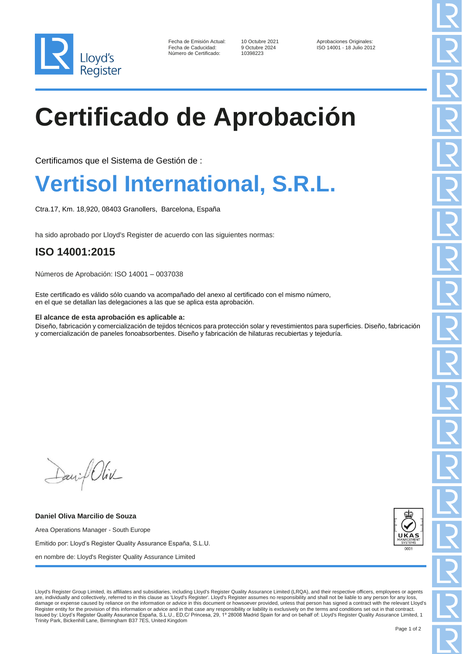

| Fecha de Emisión Actual: |
|--------------------------|
| Fecha de Caducidad:      |
| Número de Certificado:   |

10398223

Fecha de Emisión Aprobaciones Originales:<br>19 Octubre 2024 150 14001 - 18 Julio 201 Fecha de Caducidad: 9 Octubre 2024 ISO 14001 - 18 Julio 2012

# **Certificado de Aprobación**

Certificamos que el Sistema de Gestión de :

### **Vertisol International, S.R.L.**

Ctra.17, Km. 18,920, 08403 Granollers, Barcelona, España

ha sido aprobado por Lloyd's Register de acuerdo con las siguientes normas:

### **ISO 14001:2015**

Números de Aprobación: ISO 14001 – 0037038

Este certificado es válido sólo cuando va acompañado del anexo al certificado con el mismo número, en el que se detallan las delegaciones a las que se aplica esta aprobación.

### **El alcance de esta aprobación es aplicable a:**

Diseño, fabricación y comercialización de tejidos técnicos para protección solar y revestimientos para superficies. Diseño, fabricación y comercialización de paneles fonoabsorbentes. Diseño y fabricación de hilaturas recubiertas y tejeduría.

Daniel Oliv

**Daniel Oliva Marcilio de Souza** Area Operations Manager - South Europe Emitido por: Lloyd's Register Quality Assurance España, S.L.U. en nombre de: Lloyd's Register Quality Assurance Limited



Lloyd's Register Group Limited, its affiliates and subsidiaries, including Lloyd's Register Quality Assurance Limited (LRQA), and their respective officers, employees or agents are, individually and collectively, referred to in this clause as 'Lloyd's Register'. Lloyd's Register assumes no responsibility and shall not be liable to any person for any loss, damage or expense caused by reliance on the information or advice in this document or howsoever provided, unless that person has signed a contract with the relevant Lloyd's Register entity for the provision of this information or advice and in that case any responsibility or liability is exclusively on the terms and conditions set out in that contract.<br>Issued by: Lloyd's Register Quality Assu Trinity Park, Bickenhill Lane, Birmingham B37 7ES, United Kingdom